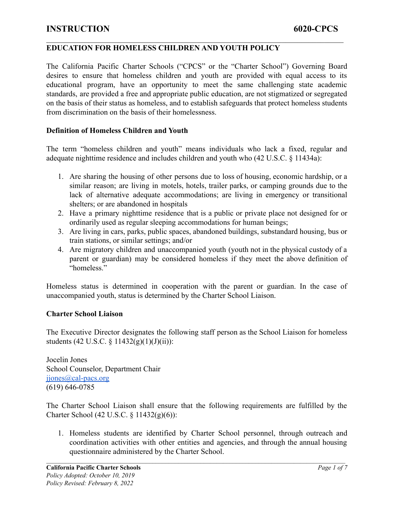# **INSTRUCTION 6020-CPCS**

## **EDUCATION FOR HOMELESS CHILDREN AND YOUTH POLICY**

The California Pacific Charter Schools ("CPCS" or the "Charter School") Governing Board desires to ensure that homeless children and youth are provided with equal access to its educational program, have an opportunity to meet the same challenging state academic standards, are provided a free and appropriate public education, are not stigmatized or segregated on the basis of their status as homeless, and to establish safeguards that protect homeless students from discrimination on the basis of their homelessness.

 $\mathcal{L}_\mathcal{L} = \{ \mathcal{L}_\mathcal{L} = \{ \mathcal{L}_\mathcal{L} = \{ \mathcal{L}_\mathcal{L} = \{ \mathcal{L}_\mathcal{L} = \{ \mathcal{L}_\mathcal{L} = \{ \mathcal{L}_\mathcal{L} = \{ \mathcal{L}_\mathcal{L} = \{ \mathcal{L}_\mathcal{L} = \{ \mathcal{L}_\mathcal{L} = \{ \mathcal{L}_\mathcal{L} = \{ \mathcal{L}_\mathcal{L} = \{ \mathcal{L}_\mathcal{L} = \{ \mathcal{L}_\mathcal{L} = \{ \mathcal{L}_\mathcal{$ 

#### **Definition of Homeless Children and Youth**

The term "homeless children and youth" means individuals who lack a fixed, regular and adequate nighttime residence and includes children and youth who (42 U.S.C. § 11434a):

- 1. Are sharing the housing of other persons due to loss of housing, economic hardship, or a similar reason; are living in motels, hotels, trailer parks, or camping grounds due to the lack of alternative adequate accommodations; are living in emergency or transitional shelters; or are abandoned in hospitals
- 2. Have a primary nighttime residence that is a public or private place not designed for or ordinarily used as regular sleeping accommodations for human beings;
- 3. Are living in cars, parks, public spaces, abandoned buildings, substandard housing, bus or train stations, or similar settings; and/or
- 4. Are migratory children and unaccompanied youth (youth not in the physical custody of a parent or guardian) may be considered homeless if they meet the above definition of "homeless."

Homeless status is determined in cooperation with the parent or guardian. In the case of unaccompanied youth, status is determined by the Charter School Liaison.

#### **Charter School Liaison**

The Executive Director designates the following staff person as the School Liaison for homeless students (42 U.S.C.  $\frac{11432(g)(1)(J)(ii)}{i}$ 

Jocelin Jones School Counselor, Department Chair [jjones@cal-pacs.org](mailto:jjones@cal-pacs.org) (619) 646-0785

The Charter School Liaison shall ensure that the following requirements are fulfilled by the Charter School (42 U.S.C. § 11432(g)(6)):

1. Homeless students are identified by Charter School personnel, through outreach and coordination activities with other entities and agencies, and through the annual housing questionnaire administered by the Charter School.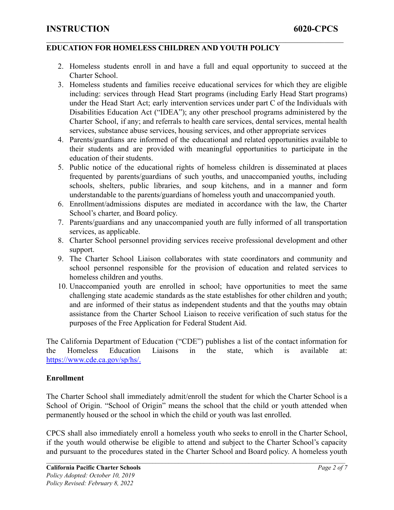2. Homeless students enroll in and have a full and equal opportunity to succeed at the Charter School.

 $\mathcal{L}_\mathcal{L} = \{ \mathcal{L}_\mathcal{L} = \{ \mathcal{L}_\mathcal{L} = \{ \mathcal{L}_\mathcal{L} = \{ \mathcal{L}_\mathcal{L} = \{ \mathcal{L}_\mathcal{L} = \{ \mathcal{L}_\mathcal{L} = \{ \mathcal{L}_\mathcal{L} = \{ \mathcal{L}_\mathcal{L} = \{ \mathcal{L}_\mathcal{L} = \{ \mathcal{L}_\mathcal{L} = \{ \mathcal{L}_\mathcal{L} = \{ \mathcal{L}_\mathcal{L} = \{ \mathcal{L}_\mathcal{L} = \{ \mathcal{L}_\mathcal{$ 

- 3. Homeless students and families receive educational services for which they are eligible including: services through Head Start programs (including Early Head Start programs) under the Head Start Act; early intervention services under part C of the Individuals with Disabilities Education Act ("IDEA"); any other preschool programs administered by the Charter School, if any; and referrals to health care services, dental services, mental health services, substance abuse services, housing services, and other appropriate services
- 4. Parents/guardians are informed of the educational and related opportunities available to their students and are provided with meaningful opportunities to participate in the education of their students.
- 5. Public notice of the educational rights of homeless children is disseminated at places frequented by parents/guardians of such youths, and unaccompanied youths, including schools, shelters, public libraries, and soup kitchens, and in a manner and form understandable to the parents/guardians of homeless youth and unaccompanied youth.
- 6. Enrollment/admissions disputes are mediated in accordance with the law, the Charter School's charter, and Board policy.
- 7. Parents/guardians and any unaccompanied youth are fully informed of all transportation services, as applicable.
- 8. Charter School personnel providing services receive professional development and other support.
- 9. The Charter School Liaison collaborates with state coordinators and community and school personnel responsible for the provision of education and related services to homeless children and youths.
- 10. Unaccompanied youth are enrolled in school; have opportunities to meet the same challenging state academic standards as the state establishes for other children and youth; and are informed of their status as independent students and that the youths may obtain assistance from the Charter School Liaison to receive verification of such status for the purposes of the Free Application for Federal Student Aid.

The California Department of Education ("CDE") publishes a list of the contact information for the Homeless Education Liaisons in the state, which is available at: <https://www.cde.ca.gov/sp/hs/>.

#### **Enrollment**

The Charter School shall immediately admit/enroll the student for which the Charter School is a School of Origin. "School of Origin" means the school that the child or youth attended when permanently housed or the school in which the child or youth was last enrolled.

CPCS shall also immediately enroll a homeless youth who seeks to enroll in the Charter School, if the youth would otherwise be eligible to attend and subject to the Charter School's capacity and pursuant to the procedures stated in the Charter School and Board policy. A homeless youth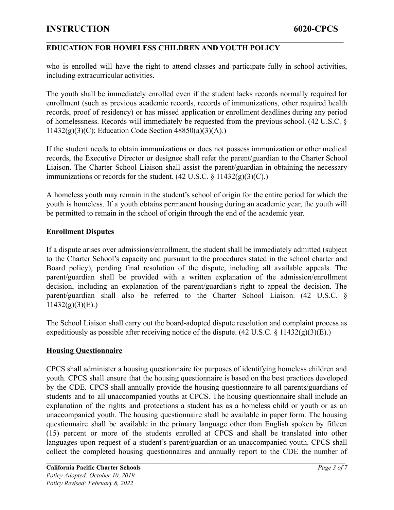# **INSTRUCTION 6020-CPCS**

# **EDUCATION FOR HOMELESS CHILDREN AND YOUTH POLICY**

who is enrolled will have the right to attend classes and participate fully in school activities, including extracurricular activities.

 $\mathcal{L}_\mathcal{L} = \{ \mathcal{L}_\mathcal{L} = \{ \mathcal{L}_\mathcal{L} = \{ \mathcal{L}_\mathcal{L} = \{ \mathcal{L}_\mathcal{L} = \{ \mathcal{L}_\mathcal{L} = \{ \mathcal{L}_\mathcal{L} = \{ \mathcal{L}_\mathcal{L} = \{ \mathcal{L}_\mathcal{L} = \{ \mathcal{L}_\mathcal{L} = \{ \mathcal{L}_\mathcal{L} = \{ \mathcal{L}_\mathcal{L} = \{ \mathcal{L}_\mathcal{L} = \{ \mathcal{L}_\mathcal{L} = \{ \mathcal{L}_\mathcal{$ 

The youth shall be immediately enrolled even if the student lacks records normally required for enrollment (such as previous academic records, records of immunizations, other required health records, proof of residency) or has missed application or enrollment deadlines during any period of homelessness. Records will immediately be requested from the previous school. (42 U.S.C. § 11432(g)(3)(C); Education Code Section 48850(a)(3)(A).)

If the student needs to obtain immunizations or does not possess immunization or other medical records, the Executive Director or designee shall refer the parent/guardian to the Charter School Liaison. The Charter School Liaison shall assist the parent/guardian in obtaining the necessary immunizations or records for the student.  $(42 \text{ U.S.C. } \& 11432(g)(3)(C))$ .

A homeless youth may remain in the student's school of origin for the entire period for which the youth is homeless. If a youth obtains permanent housing during an academic year, the youth will be permitted to remain in the school of origin through the end of the academic year.

### **Enrollment Disputes**

If a dispute arises over admissions/enrollment, the student shall be immediately admitted (subject to the Charter School's capacity and pursuant to the procedures stated in the school charter and Board policy), pending final resolution of the dispute, including all available appeals. The parent/guardian shall be provided with a written explanation of the admission/enrollment decision, including an explanation of the parent/guardian's right to appeal the decision. The parent/guardian shall also be referred to the Charter School Liaison. (42 U.S.C. §  $11432(g)(3)(E)$ .)

The School Liaison shall carry out the board-adopted dispute resolution and complaint process as expeditiously as possible after receiving notice of the dispute.  $(42 \text{ U.S.C.} \S 11432(g)(3)(E))$ .

## **Housing Questionnaire**

CPCS shall administer a housing questionnaire for purposes of identifying homeless children and youth. CPCS shall ensure that the housing questionnaire is based on the best practices developed by the CDE. CPCS shall annually provide the housing questionnaire to all parents/guardians of students and to all unaccompanied youths at CPCS. The housing questionnaire shall include an explanation of the rights and protections a student has as a homeless child or youth or as an unaccompanied youth. The housing questionnaire shall be available in paper form. The housing questionnaire shall be available in the primary language other than English spoken by fifteen (15) percent or more of the students enrolled at CPCS and shall be translated into other languages upon request of a student's parent/guardian or an unaccompanied youth. CPCS shall collect the completed housing questionnaires and annually report to the CDE the number of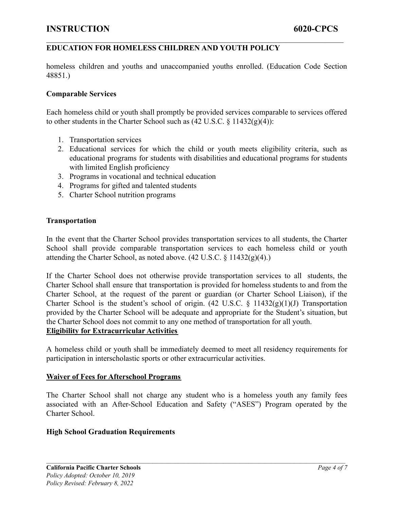homeless children and youths and unaccompanied youths enrolled. (Education Code Section 48851.)

 $\mathcal{L}_\mathcal{L} = \{ \mathcal{L}_\mathcal{L} = \{ \mathcal{L}_\mathcal{L} = \{ \mathcal{L}_\mathcal{L} = \{ \mathcal{L}_\mathcal{L} = \{ \mathcal{L}_\mathcal{L} = \{ \mathcal{L}_\mathcal{L} = \{ \mathcal{L}_\mathcal{L} = \{ \mathcal{L}_\mathcal{L} = \{ \mathcal{L}_\mathcal{L} = \{ \mathcal{L}_\mathcal{L} = \{ \mathcal{L}_\mathcal{L} = \{ \mathcal{L}_\mathcal{L} = \{ \mathcal{L}_\mathcal{L} = \{ \mathcal{L}_\mathcal{$ 

#### **Comparable Services**

Each homeless child or youth shall promptly be provided services comparable to services offered to other students in the Charter School such as  $(42 \text{ U.S.C.} \& 11432(g)(4))$ :

- 1. Transportation services
- 2. Educational services for which the child or youth meets eligibility criteria, such as educational programs for students with disabilities and educational programs for students with limited English proficiency
- 3. Programs in vocational and technical education
- 4. Programs for gifted and talented students
- 5. Charter School nutrition programs

#### **Transportation**

In the event that the Charter School provides transportation services to all students, the Charter School shall provide comparable transportation services to each homeless child or youth attending the Charter School, as noted above. (42 U.S.C. § 11432(g)(4).)

If the Charter School does not otherwise provide transportation services to all students, the Charter School shall ensure that transportation is provided for homeless students to and from the Charter School, at the request of the parent or guardian (or Charter School Liaison), if the Charter School is the student's school of origin.  $(42 \text{ U.S.C. } §$  11432 $(g)(1)(J)$  Transportation provided by the Charter School will be adequate and appropriate for the Student's situation, but the Charter School does not commit to any one method of transportation for all youth. **Eligibility for Extracurricular Activities**

A homeless child or youth shall be immediately deemed to meet all residency requirements for participation in interscholastic sports or other extracurricular activities.

#### **Waiver of Fees for Afterschool Programs**

The Charter School shall not charge any student who is a homeless youth any family fees associated with an After-School Education and Safety ("ASES") Program operated by the Charter School.

#### **High School Graduation Requirements**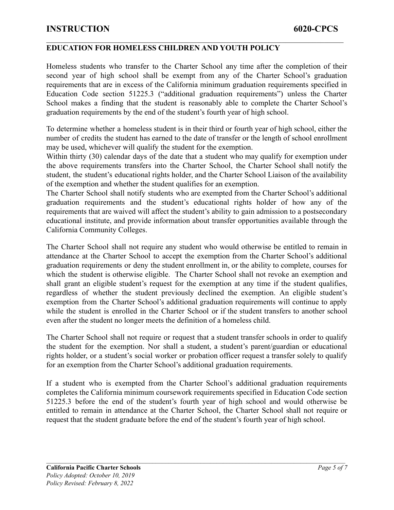# **INSTRUCTION 6020-CPCS**

## **EDUCATION FOR HOMELESS CHILDREN AND YOUTH POLICY**

Homeless students who transfer to the Charter School any time after the completion of their second year of high school shall be exempt from any of the Charter School's graduation requirements that are in excess of the California minimum graduation requirements specified in Education Code section 51225.3 ("additional graduation requirements") unless the Charter School makes a finding that the student is reasonably able to complete the Charter School's graduation requirements by the end of the student's fourth year of high school.

 $\mathcal{L}_\mathcal{L} = \{ \mathcal{L}_\mathcal{L} = \{ \mathcal{L}_\mathcal{L} = \{ \mathcal{L}_\mathcal{L} = \{ \mathcal{L}_\mathcal{L} = \{ \mathcal{L}_\mathcal{L} = \{ \mathcal{L}_\mathcal{L} = \{ \mathcal{L}_\mathcal{L} = \{ \mathcal{L}_\mathcal{L} = \{ \mathcal{L}_\mathcal{L} = \{ \mathcal{L}_\mathcal{L} = \{ \mathcal{L}_\mathcal{L} = \{ \mathcal{L}_\mathcal{L} = \{ \mathcal{L}_\mathcal{L} = \{ \mathcal{L}_\mathcal{$ 

To determine whether a homeless student is in their third or fourth year of high school, either the number of credits the student has earned to the date of transfer or the length of school enrollment may be used, whichever will qualify the student for the exemption.

Within thirty (30) calendar days of the date that a student who may qualify for exemption under the above requirements transfers into the Charter School, the Charter School shall notify the student, the student's educational rights holder, and the Charter School Liaison of the availability of the exemption and whether the student qualifies for an exemption.

The Charter School shall notify students who are exempted from the Charter School's additional graduation requirements and the student's educational rights holder of how any of the requirements that are waived will affect the student's ability to gain admission to a postsecondary educational institute, and provide information about transfer opportunities available through the California Community Colleges.

The Charter School shall not require any student who would otherwise be entitled to remain in attendance at the Charter School to accept the exemption from the Charter School's additional graduation requirements or deny the student enrollment in, or the ability to complete, courses for which the student is otherwise eligible. The Charter School shall not revoke an exemption and shall grant an eligible student's request for the exemption at any time if the student qualifies, regardless of whether the student previously declined the exemption. An eligible student's exemption from the Charter School's additional graduation requirements will continue to apply while the student is enrolled in the Charter School or if the student transfers to another school even after the student no longer meets the definition of a homeless child.

The Charter School shall not require or request that a student transfer schools in order to qualify the student for the exemption. Nor shall a student, a student's parent/guardian or educational rights holder, or a student's social worker or probation officer request a transfer solely to qualify for an exemption from the Charter School's additional graduation requirements.

If a student who is exempted from the Charter School's additional graduation requirements completes the California minimum coursework requirements specified in Education Code section 51225.3 before the end of the student's fourth year of high school and would otherwise be entitled to remain in attendance at the Charter School, the Charter School shall not require or request that the student graduate before the end of the student's fourth year of high school.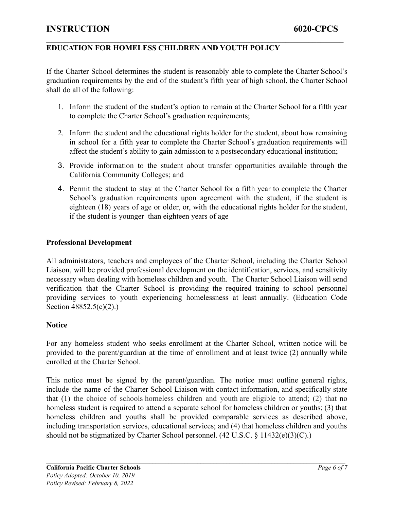If the Charter School determines the student is reasonably able to complete the Charter School's graduation requirements by the end of the student's fifth year of high school, the Charter School shall do all of the following:

 $\mathcal{L}_\mathcal{L} = \{ \mathcal{L}_\mathcal{L} = \{ \mathcal{L}_\mathcal{L} = \{ \mathcal{L}_\mathcal{L} = \{ \mathcal{L}_\mathcal{L} = \{ \mathcal{L}_\mathcal{L} = \{ \mathcal{L}_\mathcal{L} = \{ \mathcal{L}_\mathcal{L} = \{ \mathcal{L}_\mathcal{L} = \{ \mathcal{L}_\mathcal{L} = \{ \mathcal{L}_\mathcal{L} = \{ \mathcal{L}_\mathcal{L} = \{ \mathcal{L}_\mathcal{L} = \{ \mathcal{L}_\mathcal{L} = \{ \mathcal{L}_\mathcal{$ 

- 1. Inform the student of the student's option to remain at the Charter School for a fifth year to complete the Charter School's graduation requirements;
- 2. Inform the student and the educational rights holder for the student, about how remaining in school for a fifth year to complete the Charter School's graduation requirements will affect the student's ability to gain admission to a postsecondary educational institution;
- 3. Provide information to the student about transfer opportunities available through the California Community Colleges; and
- 4. Permit the student to stay at the Charter School for a fifth year to complete the Charter School's graduation requirements upon agreement with the student, if the student is eighteen (18) years of age or older, or, with the educational rights holder for the student, if the student is younger than eighteen years of age

### **Professional Development**

All administrators, teachers and employees of the Charter School, including the Charter School Liaison, will be provided professional development on the identification, services, and sensitivity necessary when dealing with homeless children and youth. The Charter School Liaison will send verification that the Charter School is providing the required training to school personnel providing services to youth experiencing homelessness at least annually. (Education Code Section 48852.5(c)(2).)

## **Notice**

For any homeless student who seeks enrollment at the Charter School, written notice will be provided to the parent/guardian at the time of enrollment and at least twice (2) annually while enrolled at the Charter School.

This notice must be signed by the parent/guardian. The notice must outline general rights, include the name of the Charter School Liaison with contact information, and specifically state that (1) the choice of schools homeless children and youth are eligible to attend; (2) that no homeless student is required to attend a separate school for homeless children or youths; (3) that homeless children and youths shall be provided comparable services as described above, including transportation services, educational services; and (4) that homeless children and youths should not be stigmatized by Charter School personnel. (42 U.S.C. § 11432(e)(3)(C).)